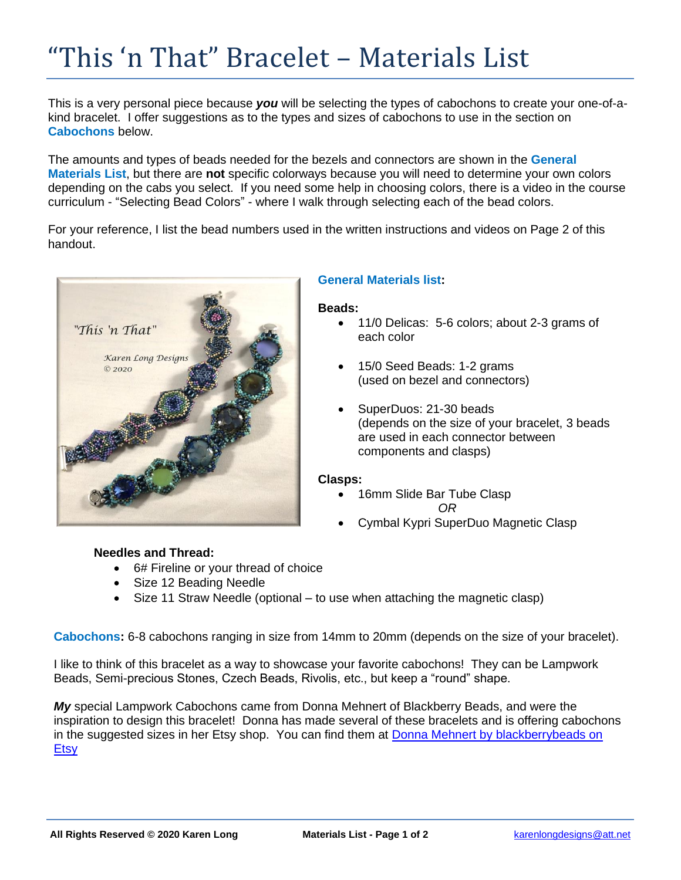# "This 'n That" Bracelet – Materials List

This is a very personal piece because *you* will be selecting the types of cabochons to create your one-of-akind bracelet. I offer suggestions as to the types and sizes of cabochons to use in the section on **Cabochons** below.

The amounts and types of beads needed for the bezels and connectors are shown in the **General Materials List**, but there are **not** specific colorways because you will need to determine your own colors depending on the cabs you select. If you need some help in choosing colors, there is a video in the course curriculum - "Selecting Bead Colors" - where I walk through selecting each of the bead colors.

For your reference, I list the bead numbers used in the written instructions and videos on Page 2 of this handout.



## **General Materials list:**

### **Beads:**

- 11/0 Delicas: 5-6 colors; about 2-3 grams of each color
- 15/0 Seed Beads: 1-2 grams (used on bezel and connectors)
- SuperDuos: 21-30 beads (depends on the size of your bracelet, 3 beads are used in each connector between components and clasps)

### **Clasps:**

- 16mm Slide Bar Tube Clasp *OR*
- Cymbal Kypri SuperDuo Magnetic Clasp

## **Needles and Thread:**

- 6# Fireline or your thread of choice
- Size 12 Beading Needle
- Size 11 Straw Needle (optional to use when attaching the magnetic clasp)

**Cabochons:** 6-8 cabochons ranging in size from 14mm to 20mm (depends on the size of your bracelet).

I like to think of this bracelet as a way to showcase your favorite cabochons! They can be Lampwork Beads, Semi-precious Stones, Czech Beads, Rivolis, etc., but keep a "round" shape.

*My* special Lampwork Cabochons came from Donna Mehnert of Blackberry Beads, and were the inspiration to design this bracelet! Donna has made several of these bracelets and is offering cabochons in the suggested sizes in her Etsy shop. You can find them at [Donna Mehnert by blackberrybeads on](https://www.etsy.com/shop/blackberrybeads)  [Etsy](https://www.etsy.com/shop/blackberrybeads)